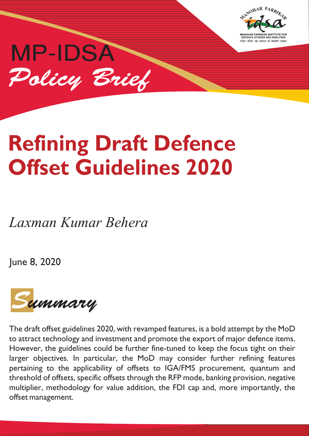

MP-IDSA Policy Brief

# **Refining Draft Defence Offset Guidelines 2020**

*Laxman Kumar Behera*

June 8, 2020

Summary

The draft offset guidelines 2020, with revamped features, is a bold attempt by the MoD to attract technology and investment and promote the export of major defence items. However, the guidelines could be further fine-tuned to keep the focus tight on their larger objectives. In particular, the MoD may consider further refining features pertaining to the applicability of offsets to IGA/FMS procurement, quantum and threshold of offsets, specific offsets through the RFP mode, banking provision, negative multiplier, methodology for value addition, the FDI cap and, more importantly, the offset management.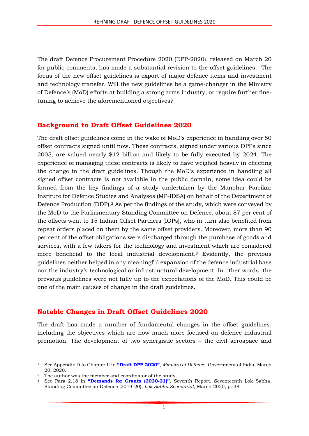The draft Defence Procurement Procedure 2020 (DPP-2020), released on March 20 for public comments, has made a substantial revision to the offset guidelines. <sup>1</sup> The focus of the new offset guidelines is export of major defence items and investment and technology transfer. Will the new guidelines be a game-changer in the Ministry of Defence's (MoD) efforts at building a strong arms industry, or require further finetuning to achieve the aforementioned objectives?

#### **Background to Draft Offset Guidelines 2020**

The draft offset guidelines come in the wake of MoD's experience in handling over 50 offset contracts signed until now. These contracts, signed under various DPPs since 2005, are valued nearly \$12 billion and likely to be fully executed by 2024. The experience of managing these contracts is likely to have weighed heavily in effecting the change in the draft guidelines. Though the MoD's experience in handling all signed offset contracts is not available in the public domain, some idea could be formed from the key findings of a study undertaken by the Manohar Parrikar Institute for Defence Studies and Analyses (MP-IDSA) on behalf of the Department of Defence Production (DDP). <sup>2</sup> As per the findings of the study, which were conveyed by the MoD to the Parliamentary Standing Committee on Defence, about 87 per cent of the offsets went to 15 Indian Offset Partners (IOPs), who in turn also benefited from repeat orders placed on them by the same offset providers. Moreover, more than 90 per cent of the offset obligations were discharged through the purchase of goods and services, with a few takers for the technology and investment which are considered more beneficial to the local industrial development. <sup>3</sup> Evidently, the previous guidelines neither helped in any meaningful expansion of the defence industrial base nor the industry's technological or infrastructural development. In other words, the previous guidelines were not fully up to the expectations of the MoD. This could be one of the main causes of change in the draft guidelines.

#### **Notable Changes in Draft Offset Guidelines 2020**

The draft has made a number of fundamental changes in the offset guidelines, including the objectives which are now much more focused on defence industrial promotion. The development of two synergistic sectors – the civil aerospace and

1

<sup>1</sup> See Appendix D to Chapter II in **["Draft DPP](https://mod.gov.in/sites/default/files/draftdppnew200320c_0.pdf)-2020"**, *Ministry of Defence*, Government of India, March 20, 2020.

<sup>&</sup>lt;sup>2</sup> The author was the member and coordinator of the study.

<sup>3</sup> See Para 2.18 in **["Demands for Grants \(2020](http://164.100.47.193/lsscommittee/Defence/17_Defence_7.pdf)-21)"**, Seventh Report, Seventeenth Lok Sabha, Standing Committee on Defence (2019-20), *Lok Sabha Secretariat*, March 2020, p. 38.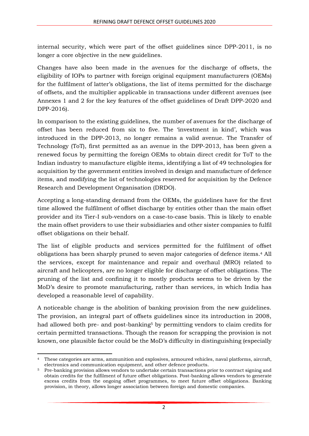internal security, which were part of the offset guidelines since DPP-2011, is no longer a core objective in the new guidelines.

Changes have also been made in the avenues for the discharge of offsets, the eligibility of IOPs to partner with foreign original equipment manufacturers (OEMs) for the fulfilment of latter's obligations, the list of items permitted for the discharge of offsets, and the multiplier applicable in transactions under different avenues (see Annexes 1 and 2 for the key features of the offset guidelines of Draft DPP-2020 and DPP-2016).

In comparison to the existing guidelines, the number of avenues for the discharge of offset has been reduced from six to five. The 'investment in kind', which was introduced in the DPP-2013, no longer remains a valid avenue. The Transfer of Technology (ToT), first permitted as an avenue in the DPP-2013, has been given a renewed focus by permitting the foreign OEMs to obtain direct credit for ToT to the Indian industry to manufacture eligible items, identifying a list of 49 technologies for acquisition by the government entities involved in design and manufacture of defence items, and modifying the list of technologies reserved for acquisition by the Defence Research and Development Organisation (DRDO).

Accepting a long-standing demand from the OEMs, the guidelines have for the first time allowed the fulfilment of offset discharge by entities other than the main offset provider and its Tier-I sub-vendors on a case-to-case basis. This is likely to enable the main offset providers to use their subsidiaries and other sister companies to fulfil offset obligations on their behalf.

The list of eligible products and services permitted for the fulfilment of offset obligations has been sharply pruned to seven major categories of defence items.<sup>4</sup> All the services, except for maintenance and repair and overhaul (MRO) related to aircraft and helicopters, are no longer eligible for discharge of offset obligations. The pruning of the list and confining it to mostly products seems to be driven by the MoD's desire to promote manufacturing, rather than services, in which India has developed a reasonable level of capability.

A noticeable change is the abolition of banking provision from the new guidelines. The provision, an integral part of offsets guidelines since its introduction in 2008, had allowed both pre- and post-banking<sup>5</sup> by permitting vendors to claim credits for certain permitted transactions. Though the reason for scrapping the provision is not known, one plausible factor could be the MoD's difficulty in distinguishing (especially

**<sup>.</sup>** <sup>4</sup> These categories are arms, ammunition and explosives, armoured vehicles, naval platforms, aircraft, electronics and communication equipment, and other defence products.

<sup>5</sup> Pre-banking provision allows vendors to undertake certain transactions prior to contract signing and obtain credits for the fulfilment of future offset obligations. Post-banking allows vendors to generate excess credits from the ongoing offset programmes, to meet future offset obligations. Banking provision, in theory, allows longer association between foreign and domestic companies.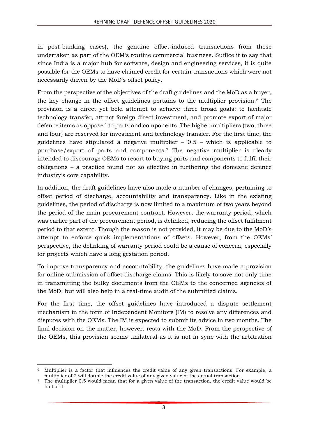in post-banking cases), the genuine offset-induced transactions from those undertaken as part of the OEM's routine commercial business. Suffice it to say that since India is a major hub for software, design and engineering services, it is quite possible for the OEMs to have claimed credit for certain transactions which were not necessarily driven by the MoD's offset policy.

From the perspective of the objectives of the draft guidelines and the MoD as a buyer, the key change in the offset guidelines pertains to the multiplier provision.<sup>6</sup> The provision is a direct yet bold attempt to achieve three broad goals: to facilitate technology transfer, attract foreign direct investment, and promote export of major defence items as opposed to parts and components. The higher multipliers (two, three and four) are reserved for investment and technology transfer. For the first time, the guidelines have stipulated a negative multiplier  $-0.5$  – which is applicable to purchase/export of parts and components.<sup>7</sup> The negative multiplier is clearly intended to discourage OEMs to resort to buying parts and components to fulfil their obligations – a practice found not so effective in furthering the domestic defence industry's core capability.

In addition, the draft guidelines have also made a number of changes, pertaining to offset period of discharge, accountability and transparency. Like in the existing guidelines, the period of discharge is now limited to a maximum of two years beyond the period of the main procurement contract. However, the warranty period, which was earlier part of the procurement period, is delinked, reducing the offset fulfilment period to that extent. Though the reason is not provided, it may be due to the MoD's attempt to enforce quick implementations of offsets. However, from the OEMs' perspective, the delinking of warranty period could be a cause of concern, especially for projects which have a long gestation period.

To improve transparency and accountability, the guidelines have made a provision for online submission of offset discharge claims. This is likely to save not only time in transmitting the bulky documents from the OEMs to the concerned agencies of the MoD, but will also help in a real-time audit of the submitted claims.

For the first time, the offset guidelines have introduced a dispute settlement mechanism in the form of Independent Monitors (IM) to resolve any differences and disputes with the OEMs. The IM is expected to submit its advice in two months. The final decision on the matter, however, rests with the MoD. From the perspective of the OEMs, this provision seems unilateral as it is not in sync with the arbitration

<sup>1</sup> <sup>6</sup> Multiplier is a factor that influences the credit value of any given transactions. For example, a multiplier of 2 will double the credit value of any given value of the actual transaction.

<sup>7</sup> The multiplier 0.5 would mean that for a given value of the transaction, the credit value would be half of it.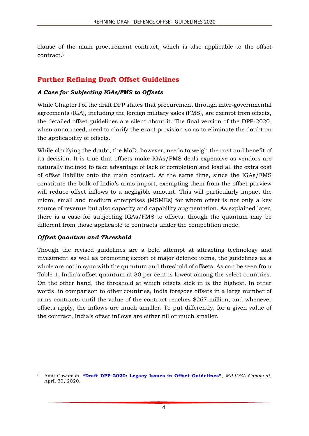clause of the main procurement contract, which is also applicable to the offset contract.<sup>8</sup>

## **Further Refining Draft Offset Guidelines**

#### *A Case for Subjecting IGAs/FMS to Offsets*

While Chapter I of the draft DPP states that procurement through inter-governmental agreements (IGA), including the foreign military sales (FMS), are exempt from offsets, the detailed offset guidelines are silent about it. The final version of the DPP-2020, when announced, need to clarify the exact provision so as to eliminate the doubt on the applicability of offsets.

While clarifying the doubt, the MoD, however, needs to weigh the cost and benefit of its decision. It is true that offsets make IGAs/FMS deals expensive as vendors are naturally inclined to take advantage of lack of completion and load all the extra cost of offset liability onto the main contract. At the same time, since the IGAs/FMS constitute the bulk of India's arms import, exempting them from the offset purview will reduce offset inflows to a negligible amount. This will particularly impact the micro, small and medium enterprises (MSMEs) for whom offset is not only a key source of revenue but also capacity and capability augmentation. As explained later, there is a case for subjecting IGAs/FMS to offsets, though the quantum may be different from those applicable to contracts under the competition mode.

#### *Offset Quantum and Threshold*

Though the revised guidelines are a bold attempt at attracting technology and investment as well as promoting export of major defence items, the guidelines as a whole are not in sync with the quantum and threshold of offsets. As can be seen from Table 1, India's offset quantum at 30 per cent is lowest among the select countries. On the other hand, the threshold at which offsets kick in is the highest. In other words, in comparison to other countries, India foregoes offsets in a large number of arms contracts until the value of the contract reaches \$267 million, and whenever offsets apply, the inflows are much smaller. To put differently, for a given value of the contract, India's offset inflows are either nil or much smaller.

 $\overline{a}$ <sup>8</sup> Amit Cowshish, **["Draft DPP 2020: Legacy Issues in Offset Guidelines"](https://idsa.in/idsacomments/Draft-dpp-2020-acowshis-300420#footnote8_0zoppih)**, *MP-IDSA Comment*, April 30, 2020.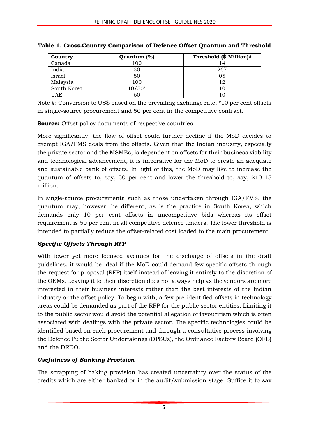| Country     | Quantum (%) | Threshold (\$ Million)# |
|-------------|-------------|-------------------------|
| Canada      | 100         |                         |
| India       | 30          | 267                     |
| Israel      | 50          | 05                      |
| Malaysia    | 100         |                         |
| South Korea | 10/50*      |                         |
| UAE         |             |                         |

**Table 1. Cross-Country Comparison of Defence Offset Quantum and Threshold**

Note #: Conversion to US\$ based on the prevailing exchange rate; \*10 per cent offsets in single-source procurement and 50 per cent in the competitive contract.

**Source:** Offset policy documents of respective countries.

More significantly, the flow of offset could further decline if the MoD decides to exempt IGA/FMS deals from the offsets. Given that the Indian industry, especially the private sector and the MSMEs, is dependent on offsets for their business viability and technological advancement, it is imperative for the MoD to create an adequate and sustainable bank of offsets. In light of this, the MoD may like to increase the quantum of offsets to, say, 50 per cent and lower the threshold to, say, \$10-15 million.

In single-source procurements such as those undertaken through IGA/FMS, the quantum may, however, be different, as is the practice in South Korea, which demands only 10 per cent offsets in uncompetitive bids whereas its offset requirement is 50 per cent in all competitive defence tenders. The lower threshold is intended to partially reduce the offset-related cost loaded to the main procurement.

## *Specific Offsets Through RFP*

With fewer yet more focused avenues for the discharge of offsets in the draft guidelines, it would be ideal if the MoD could demand few specific offsets through the request for proposal (RFP) itself instead of leaving it entirely to the discretion of the OEMs. Leaving it to their discretion does not always help as the vendors are more interested in their business interests rather than the best interests of the Indian industry or the offset policy. To begin with, a few pre-identified offsets in technology areas could be demanded as part of the RFP for the public sector entities. Limiting it to the public sector would avoid the potential allegation of favouritism which is often associated with dealings with the private sector. The specific technologies could be identified based on each procurement and through a consultative process involving the Defence Public Sector Undertakings (DPSUs), the Ordnance Factory Board (OFB) and the DRDO.

## *Usefulness of Banking Provision*

The scrapping of baking provision has created uncertainty over the status of the credits which are either banked or in the audit/submission stage. Suffice it to say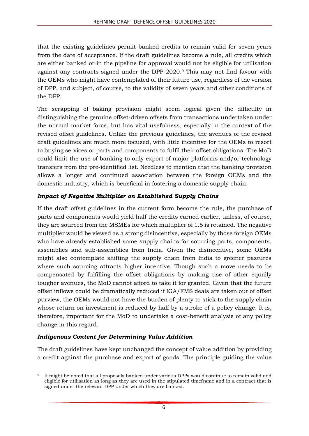that the existing guidelines permit banked credits to remain valid for seven years from the date of acceptance. If the draft guidelines become a rule, all credits which are either banked or in the pipeline for approval would not be eligible for utilisation against any contracts signed under the DPP-2020.<sup>9</sup> This may not find favour with the OEMs who might have contemplated of their future use, regardless of the version of DPP, and subject, of course, to the validity of seven years and other conditions of the DPP.

The scrapping of baking provision might seem logical given the difficulty in distinguishing the genuine offset-driven offsets from transactions undertaken under the normal market force, but has vital usefulness, especially in the context of the revised offset guidelines. Unlike the previous guidelines, the avenues of the revised draft guidelines are much more focused, with little incentive for the OEMs to resort to buying services or parts and components to fulfil their offset obligations. The MoD could limit the use of banking to only export of major platforms and/or technology transfers from the pre-identified list. Needless to mention that the banking provision allows a longer and continued association between the foreign OEMs and the domestic industry, which is beneficial in fostering a domestic supply chain.

#### *Impact of Negative Multiplier on Established Supply Chains*

If the draft offset guidelines in the current form become the rule, the purchase of parts and components would yield half the credits earned earlier, unless, of course, they are sourced from the MSMEs for which multiplier of 1.5 is retained. The negative multiplier would be viewed as a strong disincentive, especially by those foreign OEMs who have already established some supply chains for sourcing parts, components, assemblies and sub-assemblies from India. Given the disincentive, some OEMs might also contemplate shifting the supply chain from India to greener pastures where such sourcing attracts higher incentive. Though such a move needs to be compensated by fulfilling the offset obligations by making use of other equally tougher avenues, the MoD cannot afford to take it for granted. Given that the future offset inflows could be dramatically reduced if IGA/FMS deals are taken out of offset purview, the OEMs would not have the burden of plenty to stick to the supply chain whose return on investment is reduced by half by a stroke of a policy change. It is, therefore, important for the MoD to undertake a cost-benefit analysis of any policy change in this regard.

#### *Indigenous Content for Determining Value Addition*

The draft guidelines have kept unchanged the concept of value addition by providing a credit against the purchase and export of goods. The principle guiding the value

 $\overline{a}$ <sup>9</sup> It might be noted that all proposals banked under various DPPs would continue to remain valid and eligible for utilisation as long as they are used in the stipulated timeframe and in a contract that is signed under the relevant DPP under which they are banked.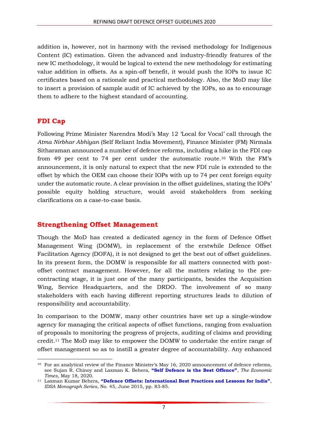addition is, however, not in harmony with the revised methodology for Indigenous Content (IC) estimation. Given the advanced and industry-friendly features of the new IC methodology, it would be logical to extend the new methodology for estimating value addition in offsets. As a spin-off benefit, it would push the IOPs to issue IC certificates based on a rationale and practical methodology. Also, the MoD may like to insert a provision of sample audit of IC achieved by the IOPs, so as to encourage them to adhere to the highest standard of accounting.

#### **FDI Cap**

Following Prime Minister Narendra Modi's May 12 'Local for Vocal' call through the *Atma Nirbhar Abhiyan* (Self Reliant India Movement), Finance Minister (FM) Nirmala Sitharaman announced a number of defence reforms, including a hike in the FDI cap from 49 per cent to 74 per cent under the automatic route.<sup>10</sup> With the FM's announcement, it is only natural to expect that the new FDI rule is extended to the offset by which the OEM can choose their IOPs with up to 74 per cent foreign equity under the automatic route. A clear provision in the offset guidelines, stating the IOPs' possible equity holding structure, would avoid stakeholders from seeking clarifications on a case-to-case basis.

#### **Strengthening Offset Management**

Though the MoD has created a dedicated agency in the form of Defence Offset Management Wing (DOMW), in replacement of the erstwhile Defence Offset Facilitation Agency (DOFA), it is not designed to get the best out of offset guidelines. In its present form, the DOMW is responsible for all matters connected with postoffset contract management. However, for all the matters relating to the precontracting stage, it is just one of the many participants, besides the Acquisition Wing, Service Headquarters, and the DRDO. The involvement of so many stakeholders with each having different reporting structures leads to dilution of responsibility and accountability.

In comparison to the DOMW, many other countries have set up a single-window agency for managing the critical aspects of offset functions, ranging from evaluation of proposals to monitoring the progress of projects, auditing of claims and providing credit. <sup>11</sup> The MoD may like to empower the DOMW to undertake the entire range of offset management so as to instill a greater degree of accountability. Any enhanced

<sup>1</sup> <sup>10</sup> For an analytical review of the Finance Minister's May 16, 2020 announcement of defence reforms, see Sujan R. Chinoy and Laxman K. Behera, **["Self Defence is the Best Offence"](https://economictimes.indiatimes.com/news/defence/view-modis-mission-self-reliance-can-go-a-long-way-in-making-india-a-major-hub-for-defence-manufacturing/articleshow/75813584.cms)**, *The Economic Times*, May 18, 2020.

<sup>11</sup> Laxman Kumar Behera, **["Defence Offsets: International Best Practices and Lessons for India"](https://idsa.in/system/files/monograph/monograph45.pdf)**, *IDSA Monograph Series*, No. 45, June 2015, pp. 83-85.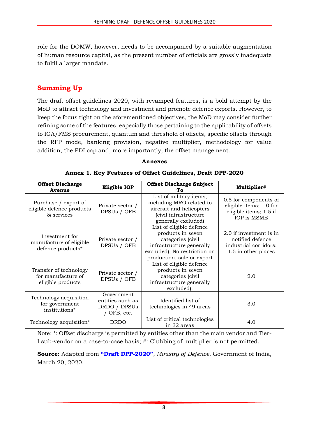role for the DOMW, however, needs to be accompanied by a suitable augmentation of human resource capital, as the present number of officials are grossly inadequate to fulfil a larger mandate.

# **Summing Up**

The draft offset guidelines 2020, with revamped features, is a bold attempt by the MoD to attract technology and investment and promote defence exports. However, to keep the focus tight on the aforementioned objectives, the MoD may consider further refining some of the features, especially those pertaining to the applicability of offsets to IGA/FMS procurement, quantum and threshold of offsets, specific offsets through the RFP mode, banking provision, negative multiplier, methodology for value addition, the FDI cap and, more importantly, the offset management.

#### **Annexes**

| <b>Offset Discharge</b><br>Avenue                                 | Eligible IOP                                                | <b>Offset Discharge Subject</b><br>Тο                                                                                                                        | Multiplier#                                                                                 |  |  |
|-------------------------------------------------------------------|-------------------------------------------------------------|--------------------------------------------------------------------------------------------------------------------------------------------------------------|---------------------------------------------------------------------------------------------|--|--|
| Purchase / export of<br>eligible defence products<br>& services   | Private sector /<br>DPSUs / OFB                             | List of military items,<br>including MRO related to<br>aircraft and helicopters<br>(civil infrastructure<br>generally excluded)                              | 0.5 for components of<br>eligible items; 1.0 for<br>eligible items; 1.5 if<br>IOP is MSME   |  |  |
| Investment for<br>manufacture of eligible<br>defence products*    | Private sector /<br>DPSUs / OFB                             | List of eligible defence<br>products in seven<br>categories (civil<br>infrastructure generally<br>excluded); No restriction on<br>production, sale or export | 2.0 if investment is in<br>notified defence<br>industrial corridors;<br>1.5 in other places |  |  |
| Transfer of technology<br>for manufacture of<br>eligible products | Private sector /<br>DPSUs / OFB                             | List of eligible defence<br>products in seven<br>categories (civil<br>infrastructure generally<br>excluded).                                                 | 2.0                                                                                         |  |  |
| Technology acquisition<br>for government<br>institutions*         | Government<br>entities such as<br>DRDO / DPSUs<br>OFB, etc. | Identified list of<br>technologies in 49 areas                                                                                                               | 3.0                                                                                         |  |  |
| Technology acquisition*                                           | <b>DRDO</b>                                                 | List of critical technologies<br>in 32 areas                                                                                                                 | 4.0                                                                                         |  |  |

**Annex 1. Key Features of Offset Guidelines, Draft DPP-2020**

Note: \*: Offset discharge is permitted by entities other than the main vendor and Tier-I sub-vendor on a case-to-case basis; #: Clubbing of multiplier is not permitted.

**Source:** Adapted from **["Draft DPP](https://mod.gov.in/sites/default/files/draftdppnew200320c_0.pdf)-2020"**, *Ministry of Defence*, Government of India, March 20, 2020.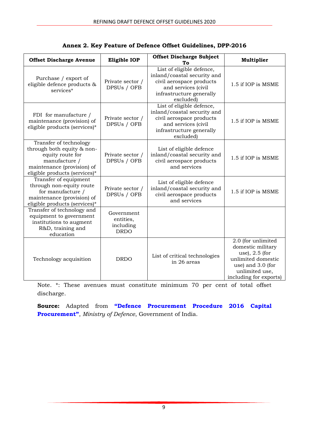| <b>Offset Discharge Avenue</b>                                                                                                                           | Eligible IOP                                        | <b>Offset Discharge Subject</b><br>To                                                                                                                | Multiplier                                                                                                                                         |
|----------------------------------------------------------------------------------------------------------------------------------------------------------|-----------------------------------------------------|------------------------------------------------------------------------------------------------------------------------------------------------------|----------------------------------------------------------------------------------------------------------------------------------------------------|
| Purchase / export of<br>eligible defence products &<br>services*                                                                                         | Private sector /<br>DPSUs / OFB                     | List of eligible defence,<br>inland/coastal security and<br>civil aerospace products<br>and services (civil<br>infrastructure generally<br>excluded) | 1.5 if IOP is MSME                                                                                                                                 |
| FDI for manufacture /<br>maintenance (provision) of<br>eligible products (services)*                                                                     | Private sector /<br>DPSUs / OFB                     | List of eligible defence,<br>inland/coastal security and<br>civil aerospace products<br>and services (civil<br>infrastructure generally<br>excluded) | 1.5 if IOP is MSME                                                                                                                                 |
| Transfer of technology<br>through both equity & non-<br>equity route for<br>manufacture /<br>maintenance (provision) of<br>eligible products (services)* | Private sector /<br>DPSUs / OFB                     | List of eligible defence<br>inland/coastal security and<br>civil aerospace products<br>and services                                                  | 1.5 if IOP is MSME                                                                                                                                 |
| Transfer of equipment<br>through non-equity route<br>for manufacture /<br>maintenance (provision) of<br>eligible products (services)*                    | Private sector /<br>DPSUs / OFB                     | List of eligible defence<br>inland/coastal security and<br>civil aerospace products<br>and services                                                  | 1.5 if IOP is MSME                                                                                                                                 |
| Transfer of technology and<br>equipment to government<br>institutions to augment<br>R&D, training and<br>education                                       | Government<br>entities,<br>including<br><b>DRDO</b> |                                                                                                                                                      |                                                                                                                                                    |
| Technology acquisition                                                                                                                                   | <b>DRDO</b>                                         | List of critical technologies<br>in 26 areas                                                                                                         | 2.0 (for unlimited<br>domestic military<br>use), $2.5$ (for<br>unlimited domestic<br>use) and 3.0 (for<br>unlimited use,<br>including for exports) |

**Annex 2. Key Feature of Defence Offset Guidelines, DPP-2016**

Note. \*: These avenues must constitute minimum 70 per cent of total offset discharge.

**Source:** Adapted from **["Defence Procurement Procedure 2016](https://mod.gov.in/sites/default/files/UVDPP201611119.pdf) Capital [Procurement](https://mod.gov.in/sites/default/files/UVDPP201611119.pdf)"**, *Ministry of Defence*, Government of India.